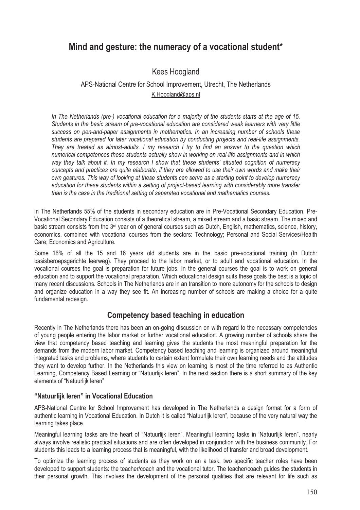# **Mind and gesture: the numeracy of a vocational student\***

## Kees Hoogland

## APS-National Centre for School Improvement, Utrecht, The Netherlands K.Hoogland@aps.nl

*In The Netherlands (pre-) vocational education for a majority of the students starts at the age of 15. Students in the basic stream of pre-vocational education are considered weak learners with very little success on pen-and-paper assignments in mathematics. In an increasing number of schools these students are prepared for later vocational education by conducting projects and real-life assignments. They are treated as almost-adults. I my research I try to find an answer to the question which numerical competences these students actually show in working on real-life assignments and in which way they talk about it. In my research I show that these students' situated cognition of numeracy concepts and practices are quite elaborate, if they are allowed to use their own words and make their own gestures. This way of looking at these students can serve as a starting point to develop numeracy education for these students within a setting of project-based learning with considerably more transfer than is the case in the traditional setting of separated vocational and mathematics courses.* 

In The Netherlands 55% of the students in secondary education are in Pre-Vocational Secondary Education. Pre-Vocational Secondary Education consists of a theoretical stream, a mixed stream and a basic stream. The mixed and basic stream consists from the  $3<sup>rd</sup>$  year on of general courses such as Dutch, English, mathematics, science, history, economics, combined with vocational courses from the sectors: Technology; Personal and Social Services/Health Care; Economics and Agriculture.

Some 16% of all the 15 and 16 years old students are in the basic pre-vocational training (In Dutch: basisberoepsgerichte leerweg). They proceed to the labor market, or to adult and vocational education. In the vocational courses the goal is preparation for future jobs. In the general courses the goal is to work on general education and to support the vocational preparation. Which educational design suits these goals the best is a topic of many recent discussions. Schools in The Netherlands are in an transition to more autonomy for the schools to design and organize education in a way they see fit. An increasing number of schools are making a choice for a quite fundamental redesign.

## **Competency based teaching in education**

Recently in The Netherlands there has been an on-going discussion on with regard to the necessary competencies of young people entering the labor market or further vocational education. A growing number of schools share the view that competency based teaching and learning gives the students the most meaningful preparation for the demands from the modern labor market. Competency based teaching and learning is organized around meaningful integrated tasks and problems, where students to certain extent formulate their own learning needs and the attitudes they want to develop further. In the Netherlands this view on learning is most of the time referred to as Authentic Learning, Competency Based Learning or "Natuurlijk leren". In the next section there is a short summary of the key elements of "Natuurlijk leren"

#### **"Natuurlijk leren" in Vocational Education**

APS-National Centre for School Improvement has developed in The Netherlands a design format for a form of authentic learning in Vocational Education. In Dutch it is called "Natuurlijk leren", because of the very natural way the learning takes place.

Meaningful learning tasks are the heart of "Natuurlijk leren". Meaningful learning tasks in 'Natuurlijk leren", nearly always involve realistic practical situations and are often developed in conjunction with the business community. For students this leads to a learning process that is meaningful, with the likelihood of transfer and broad development.

To optimize the learning process of students as they work on an a task, two specific teacher roles have been developed to support students: the teacher/coach and the vocational tutor. The teacher/coach guides the students in their personal growth. This involves the development of the personal qualities that are relevant for life such as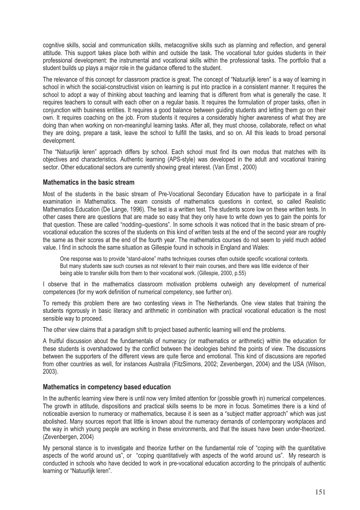cognitive skills, social and communication skills, metacognitive skills such as planning and reflection, and general attitude. This support takes place both within and outside the task. The vocational tutor guides students in their professional development: the instrumental and vocational skills within the professional tasks. The portfolio that a student builds up plays a major role in the guidance offered to the student.

The relevance of this concept for classroom practice is great. The concept of "Natuurlijk leren" is a way of learning in school in which the social-constructivist vision on learning is put into practice in a consistent manner. It requires the school to adopt a way of thinking about teaching and learning that is different from what is generally the case. It requires teachers to consult with each other on a requiar basis. It requires the formulation of proper tasks, often in conjunction with business entities. It requires a good balance between guiding students and letting them go on their own. It requires coaching on the job. From students it requires a considerably higher awareness of what they are doing than when working on non-meaningful learning tasks. After all, they must choose, collaborate, reflect on what they are doing, prepare a task, leave the school to fulfill the tasks, and so on. All this leads to broad personal development.

The "Natuurlijk leren" approach differs by school. Each school must find its own modus that matches with its objectives and characteristics. Authentic learning (APS-style) was developed in the adult and vocational training sector. Other educational sectors are currently showing great interest. (Van Emst , 2000)

#### **Mathematics in the basic stream**

Most of the students in the basic stream of Pre-Vocational Secondary Education have to participate in a final examination in Mathematics. The exam consists of mathematics questions in context, so called Realistic Mathematics Education (De Lange, 1996). The test is a written test. The students score low on these written tests. In other cases there are questions that are made so easy that they only have to write down yes to gain the points for that question. These are called "nodding–questions". In some schools it was noticed that in the basic stream of prevocational education the scores of the students on this kind of written tests at the end of the second year are roughly the same as their scores at the end of the fourth year. The mathematics courses do not seem to yield much added value. I find in schools the same situation as Gillespie found in schools in England and Wales:

One response was to provide "stand-alone" maths techniques courses often outside specific vocational contexts. But many students saw such courses as not relevant to their main courses, and there was little evidence of their being able to transfer skills from them to their vocational work. (Gillespie, 2000, p.55)

I observe that in the mathematics classroom motivation problems outweigh any development of numerical competences (for my work definition of numerical competency, see further on).

To remedy this problem there are two contesting views in The Netherlands. One view states that training the students rigorously in basic literacy and arithmetic in combination with practical vocational education is the most sensible way to proceed.

The other view claims that a paradigm shift to project based authentic learning will end the problems.

A fruitful discussion about the fundamentals of numeracy (or mathematics or arithmetic) within the education for these students is overshadowed by the conflict between the ideologies behind the points of view. The discussions between the supporters of the different views are quite fierce and emotional. This kind of discussions are reported from other countries as well, for instances Australia (FitzSimons, 2002; Zevenbergen, 2004) and the USA (Wilson, 2003).

#### **Mathematics in competency based education**

In the authentic learning view there is until now very limited attention for (possible growth in) numerical competences. The growth in attitude, dispositions and practical skills seems to be more in focus. Sometimes there is a kind of noticeable aversion to numeracy or mathematics, because it is seen as a "subject matter approach" which was just abolished. Many sources report that little is known about the numeracy demands of contemporary workplaces and the way in which young people are working in these environments, and that the issues have been under-theorized. (Zevenbergen, 2004)

My personal stance is to investigate and theorize further on the fundamental role of "coping with the quantitative aspects of the world around us", or "coping quantitatively with aspects of the world around us". My research is conducted in schools who have decided to work in pre-vocational education according to the principals of authentic learning or "Natuurlijk leren".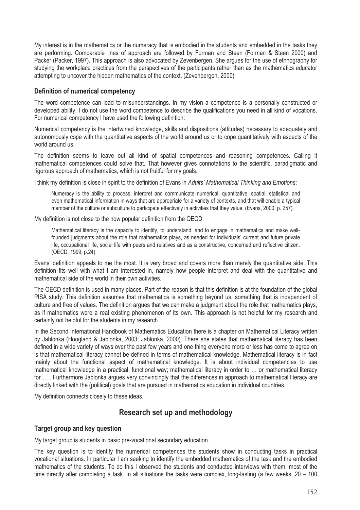My interest is in the mathematics or the numeracy that is embodied in the students and embedded in the tasks they are performing. Comparable lines of approach are followed by Forman and Steen (Forman & Steen 2000) and Packer (Packer, 1997). This approach is also advocated by Zevenbergen. She argues for the use of ethnography for studying the workplace practices from the perspectives of the participants rather than as the mathematics educator attempting to uncover the hidden mathematics of the context. (Zevenbergen, 2000)

#### **Definition of numerical competency**

The word competence can lead to misunderstandings. In my vision a competence is a personally constructed or developed ability. I do not use the word competence to describe the qualifications you need in all kind of vocations. For numerical competency I have used the following definition:

Numerical competency is the intertwined knowledge, skills and dispositions (attitudes) necessary to adequately and autonomously cope with the quantitative aspects of the world around us or to cope quantitatively with aspects of the world around us.

The definition seems to leave out all kind of spatial competences and reasoning competences. Calling it mathematical competences could solve that. That however gives connotations to the scientific, paradigmatic and rigorous approach of mathematics, which is not fruitful for my goals.

I think my definition is close in spirit to the definition of Evans in *Adults' Mathematical Thinking and Emotions*:

Numeracy is the ability to process, interpret and communicate numerical, quantitative, spatial, statistical and even mathematical information in ways that are appropriate for a variety of contexts, and that will enable a typical member of the culture or subculture to participate effectively in activities that they value. (Evans, 2000, p. 257).

My definition is not close to the now popular definition from the OECD:

Mathematical literacy is the capacity to identify, to understand, and to engage in mathematics and make wellfounded judgments about the role that mathematics plays, as needed for individuals' current and future private life, occupational life, social life with peers and relatives and as a constructive, concerned and reflective citizen. (OECD, 1999, p.24).

Evans' definition appeals to me the most. It is very broad and covers more than merely the quantitative side. This definition fits well with what I am interested in, namely how people interpret and deal with the quantitative and mathematical side of the world in their own activities.

The OECD definition is used in many places. Part of the reason is that this definition is at the foundation of the global PISA study. This definition assumes that mathematics is something beyond us, something that is independent of culture and free of values. The definition argues that we can make a judgment about the role that mathematics plays, as if mathematics were a real existing phenomenon of its own. This approach is not helpful for my research and certainly not helpful for the students in my research.

In the Second International Handbook of Mathematics Education there is a chapter on Mathematical Literacy written by Jablonka (Hoogland & Jablonka, 2003; Jablonka, 2000). There she states that mathematical literacy has been defined in a wide variety of ways over the past few years and one thing everyone more or less has come to agree on is that mathematical literacy cannot be defined in terms of mathematical knowledge. Mathematical literacy is in fact mainly about the functional aspect of mathematical knowledge. It is about individual competencies to use mathematical knowledge in a practical, functional way; mathematical literacy in order to … or mathematical literacy for … . Furthermore Jablonka argues very convincingly that the differences in approach to mathematical literacy are directly linked with the (political) goals that are pursued in mathematics education in individual countries.

My definition connects closely to these ideas.

## **Research set up and methodology**

### **Target group and key question**

My target group is students in basic pre-vocational secondary education.

The key question is to identify the numerical competences the students show in conducting tasks in practical vocational situations. In particular I am seeking to identify the embedded mathematics of the task and the embodied mathematics of the students. To do this I observed the students and conducted interviews with them, most of the time directly after completing a task. In all situations the tasks were complex, long-lasting (a few weeks,  $20 - 100$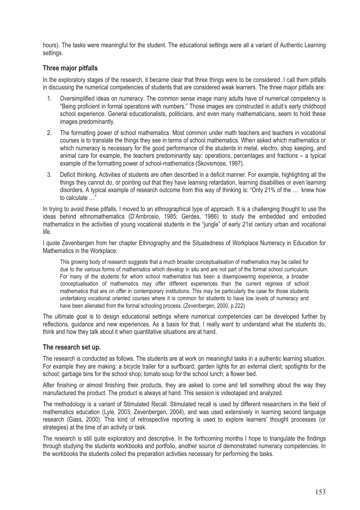hours). The tasks were meaningful for the student. The educational settings were all a variant of Authentic Learning settings.

#### **Three major pitfalls**

In the exploratory stages of the research, it became clear that three things were to be considered. I call them pitfalls in discussing the numerical competencies of students that are considered weak learners. The three major pitfalls are:

- 1. Oversimplified ideas on numeracy. The common sense image many adults have of numerical competency is "Being proficient in formal operations with numbers." Those images are constructed in adult's early childhood school experience. General educationalists, politicians, and even many mathematicians, seem to hold these images predominantly.
- 2. The formatting power of school mathematics. Most common under math teachers and teachers in vocational courses is to translate the things they see in terms of school mathematics. When asked which mathematics or which numeracy is necessary for the good performance of the students in metal, electro, shop keeping, and animal care for example, the teachers predominantly say: operations, percentages and fractions – a typical example of the formatting power of school-mathematics (Skovsmose, 1997).
- 3. Deficit thinking. Activities of students are often described in a deficit manner. For example, highlighting all the things they cannot do, or pointing out that they have learning retardation, learning disabilities or even learning disorders. A typical example of research outcome from this way of thinking is: "Only 21% of the … knew how to calculate …"

In trying to avoid these pitfalls, I moved to an ethnographical type of approach. It is a challenging thought to use the ideas behind ethnomathematics (D'Ambrosio, 1985; Gerdes, 1986) to study the embedded and embodied mathematics in the activities of young vocational students in the "jungle" of early 21st century urban and vocational life.

I quote Zevenbergen from her chapter Ethnography and the Situatedness of Workplace Numeracy in Education for Mathematics in the Workplace:

This growing body of research suggests that a much broader conceptualisation of mathematics may be called for due to the various forms of mathematics which develop in situ and are not part of the formal school curriculum. For many of the students for whom school mathematics has been a disempowering experience, a broader conceptualisation of mathematics may offer different experiences than the current regimes of school mathematics that are on offer in contemporary institutions. This may be particularly the case for those students undertaking vocational oriented courses where it is common for students to have low levels of numeracy and have been alienated from the formal schooling process. (Zevenbergen, 2000, p.222)

The ultimate goal is to design educational settings where numerical competencies can be developed further by reflections, guidance and new experiences. As a basis for that, I really want to understand what the students do, think and how they talk about it when quantitative situations are at hand.

#### **The research set up.**

The research is conducted as follows. The students are at work on meaningful tasks in a authentic learning situation. For example they are making: a bicycle trailer for a surfboard; garden lights for an external client; spotlights for the school; garbage bins for the school shop; tomato soup for the school lunch; a flower bed.

After finishing or almost finishing their products, they are asked to come and tell something about the way they manufactured the product. The product is always at hand. This session is videotaped and analyzed.

The methodology is a variant of Stimulated Recall. Stimulated recall is used by different researchers in the field of mathematics education (Lyle, 2003; Zevenbergen, 2004), and was used extensively in learning second language research (Gass, 2000). This kind of retrospective reporting is used to explore learners' thought processes (or strategies) at the time of an activity or task.

The research is still quite exploratory and descriptive. In the forthcoming months I hope to triangulate the findings through studying the students workbooks and portfolio, another source of demonstrated numeracy competencies. In the workbooks the students collect the preparation activities necessary for performing the tasks.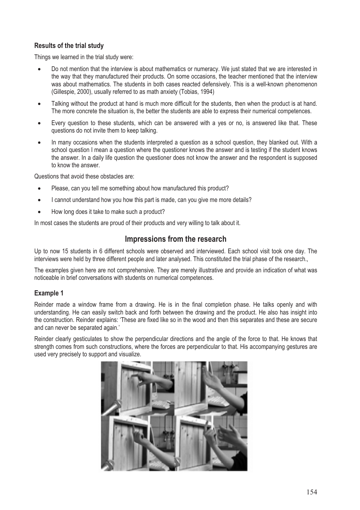### **Results of the trial study**

Things we learned in the trial study were:

- Do not mention that the interview is about mathematics or numeracy. We just stated that we are interested in the way that they manufactured their products. On some occasions, the teacher mentioned that the interview was about mathematics. The students in both cases reacted defensively. This is a well-known phenomenon (Gillespie, 2000), usually referred to as math anxiety (Tobias, 1994)
- Talking without the product at hand is much more difficult for the students, then when the product is at hand. The more concrete the situation is, the better the students are able to express their numerical competences.
- Every question to these students, which can be answered with a yes or no, is answered like that. These questions do not invite them to keep talking.
- In many occasions when the students interpreted a question as a school question, they blanked out. With a school question I mean a question where the questioner knows the answer and is testing if the student knows the answer. In a daily life question the questioner does not know the answer and the respondent is supposed to know the answer.

Questions that avoid these obstacles are:

- Please, can you tell me something about how manufactured this product?
- I cannot understand how you how this part is made, can you give me more details?
- How long does it take to make such a product?

In most cases the students are proud of their products and very willing to talk about it.

## **Impressions from the research**

Up to now 15 students in 6 different schools were observed and interviewed. Each school visit took one day. The interviews were held by three different people and later analysed. This constituted the trial phase of the research.,

The examples given here are not comprehensive. They are merely illustrative and provide an indication of what was noticeable in brief conversations with students on numerical competences.

### **Example 1**

Reinder made a window frame from a drawing. He is in the final completion phase. He talks openly and with understanding. He can easily switch back and forth between the drawing and the product. He also has insight into the construction. Reinder explains: 'These are fixed like so in the wood and then this separates and these are secure and can never be separated again.'

Reinder clearly gesticulates to show the perpendicular directions and the angle of the force to that. He knows that strength comes from such constructions, where the forces are perpendicular to that. His accompanying gestures are used very precisely to support and visualize.

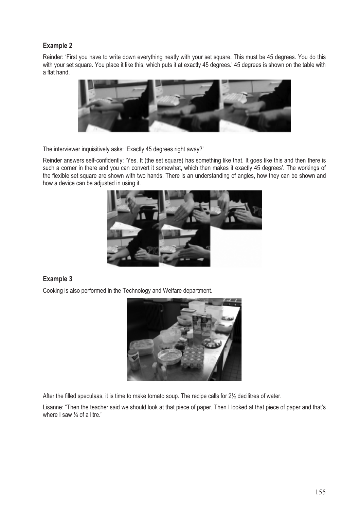### **Example 2**

Reinder: 'First you have to write down everything neatly with your set square. This must be 45 degrees. You do this with your set square. You place it like this, which puts it at exactly 45 degrees.' 45 degrees is shown on the table with a flat hand.



The interviewer inquisitively asks: 'Exactly 45 degrees right away?'

Reinder answers self-confidently: 'Yes. It (the set square) has something like that. It goes like this and then there is such a corner in there and you can convert it somewhat, which then makes it exactly 45 degrees'. The workings of the flexible set square are shown with two hands. There is an understanding of angles, how they can be shown and how a device can be adjusted in using it.



### **Example 3**

Cooking is also performed in the Technology and Welfare department.



After the filled speculaas, it is time to make tomato soup. The recipe calls for 2½ decilitres of water.

Lisanne: "Then the teacher said we should look at that piece of paper. Then I looked at that piece of paper and that's where I saw 1/4 of a litre.'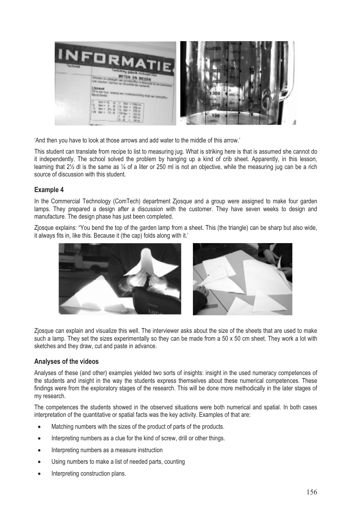| <b>INFORMATIE</b><br><b>Indicking Official Atlantic race</b>                                                                                                           |  |
|------------------------------------------------------------------------------------------------------------------------------------------------------------------------|--|
| METEN EN WEGEN<br>Amateri al all'esperi dei giordina Ren è Este che è<br><b><i><u>Altrasant</u></i></b><br>PE BOT BUS, WANTED BOTS EVARIABLE CARDS<br>William Ballagay |  |
| <b>Bluesway</b>                                                                                                                                                        |  |

'And then you have to look at those arrows and add water to the middle of this arrow.'

This student can translate from recipe to list to measuring jug. What is striking here is that is assumed she cannot do it independently. The school solved the problem by hanging up a kind of crib sheet. Apparently, in this lesson, learning that 2½ dl is the same as ¼ of a liter or 250 ml is not an objective, while the measuring jug can be a rich source of discussion with this student.

#### **Example 4**

In the Commercial Technology (ComTech) department Zjosque and a group were assigned to make four garden lamps. They prepared a design after a discussion with the customer. They have seven weeks to design and manufacture. The design phase has just been completed.

Zjosque explains: "You bend the top of the garden lamp from a sheet. This (the triangle) can be sharp but also wide, it always fits in, like this. Because it (the cap) folds along with it.'



Zjosque can explain and visualize this well. The interviewer asks about the size of the sheets that are used to make such a lamp. They set the sizes experimentally so they can be made from a 50 x 50 cm sheet. They work a lot with sketches and they draw, cut and paste in advance.

#### **Analyses of the videos**

Analyses of these (and other) examples yielded two sorts of insights: insight in the used numeracy competences of the students and insight in the way the students express themselves about these numerical competences. These findings were from the exploratory stages of the research. This will be done more methodically in the later stages of my research.

The competences the students showed in the observed situations were both numerical and spatial. In both cases interpretation of the quantitative or spatial facts was the key activity. Examples of that are:

- Matching numbers with the sizes of the product of parts of the products.
- Interpreting numbers as a clue for the kind of screw, drill or other things.
- Interpreting numbers as a measure instruction
- Using numbers to make a list of needed parts, counting
- Interpreting construction plans.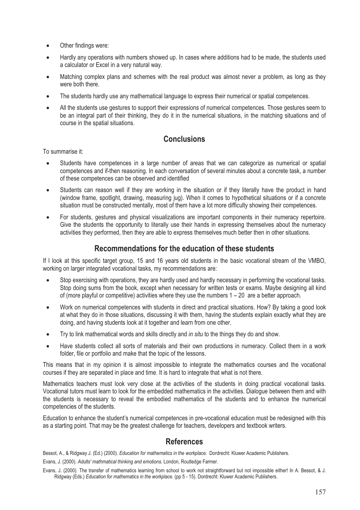- Other findings were:
- Hardly any operations with numbers showed up. In cases where additions had to be made, the students used a calculator or Excel in a very natural way.
- Matching complex plans and schemes with the real product was almost never a problem, as long as they were both there.
- The students hardly use any mathematical language to express their numerical or spatial competences.
- All the students use gestures to support their expressions of numerical competences. Those gestures seem to be an integral part of their thinking, they do it in the numerical situations, in the matching situations and of course in the spatial situations.

## **Conclusions**

To summarise it:

- Students have competences in a large number of areas that we can categorize as numerical or spatial competences and if-then reasoning. In each conversation of several minutes about a concrete task, a number of these competences can be observed and identified
- Students can reason well if they are working in the situation or if they literally have the product in hand (window frame, spotlight, drawing, measuring jug). When it comes to hypothetical situations or if a concrete situation must be constructed mentally, most of them have a lot more difficulty showing their competences.
- For students, gestures and physical visualizations are important components in their numeracy repertoire. Give the students the opportunity to literally use their hands in expressing themselves about the numeracy activities they performed, then they are able to express themselves much better then in other situations.

## **Recommendations for the education of these students**

If I look at this specific target group, 15 and 16 years old students in the basic vocational stream of the VMBO, working on larger integrated vocational tasks, my recommendations are:

- Stop exercising with operations, they are hardly used and hardly necessary in performing the vocational tasks. Stop doing sums from the book, except when necessary for written tests or exams. Maybe designing all kind of (more playful or competitive) activities where they use the numbers  $1 - 20$  are a better approach.
- Work on numerical competences with students in direct and practical situations. How? By taking a good look at what they do in those situations, discussing it with them, having the students explain exactly what they are doing, and having students look at it together and learn from one other.
- Try to link mathematical words and skills directly and *in situ* to the things they do and show.
- Have students collect all sorts of materials and their own productions in numeracy. Collect them in a work folder, file or portfolio and make that the topic of the lessons.

This means that in my opinion it is almost impossible to integrate the mathematics courses and the vocational courses if they are separated in place and time. It is hard to integrate that what is not there.

Mathematics teachers must look very close at the activities of the students in doing practical vocational tasks. Vocational tutors must learn to look for the embedded mathematics in the activities. Dialogue between them and with the students is necessary to reveal the embodied mathematics of the students and to enhance the numerical competencies of the students.

Education to enhance the student's numerical competences in pre-vocational education must be redesigned with this as a starting point. That may be the greatest challenge for teachers, developers and textbook writers.

## **References**

Bessot, A., & Ridgway J. (Ed.) (2000). *Education for mathematics in the workplace.* Dordrecht: Kluwer Academic Publishers.

Evans, J. (2000). *Adults' mathmatical thinking and emotions*. London, Routledge Farmer.

Evans, J. (2000). The transfer of mathematics learning from school to work not straightforward but not impossible either! In A. Bessot, & J. Ridgway (Eds.) *Education for mathematics in the workplace.* (pp 5 - 15). Dordrecht: Kluwer Academic Publishers.